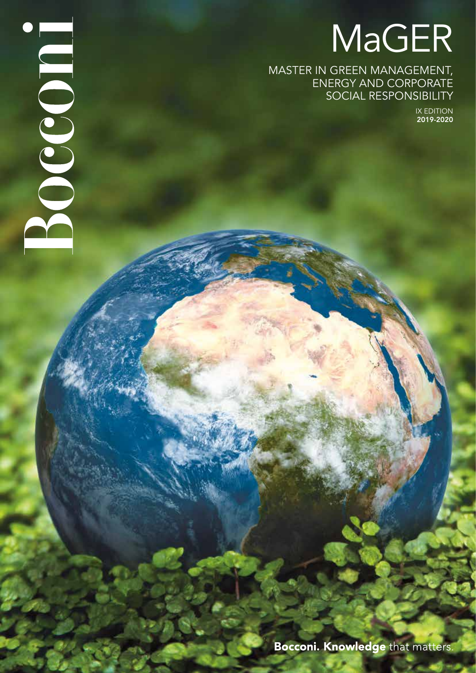# MaGER

MASTER IN GREEN MANAGEMENT, ENERGY AND CORPORATE SOCIAL RESPONSIBILITY

Bocco a

IX EDITION 2019-2020

**Bocconi. Knowledge that matters.**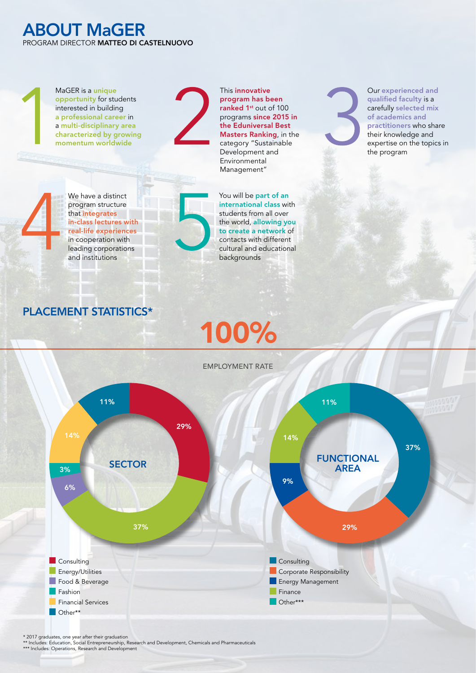#### ABOUT MaGER PROGRAM DIRECTOR MATTEO DI CASTELNUOVO

MaGER is a unique opportunity for students interested in building a professional career in a multi-disciplinary area characterized by growing momentum worldwide

We have a distinct program structure that integrates in-class lectures with real-life experiences in cooperation with leading corporations and institutions



Management" You will be part of an international class with students from all over the world, allowing you to create a network of contacts with different cultural and educational backgrounds

This innovative program has been ranked 1<sup>st</sup> out of 100 programs since 2015 in the Eduniversal Best Masters Ranking, in the category "Sustainable Development and Environmental

Our experienced and qualified faculty is a carefully selected mix of academics and practitioners who share their knowledge and expertise on the topics in the program

### PLACEMENT STATISTICS\*

## 100%



\* 2017 graduates, one year after their graduation

\*\* Includes: Education, Social Entrepreneurship, Research and Development, Chemicals and Pharmaceuticals \*\*\* Includes: Operations, Research and Development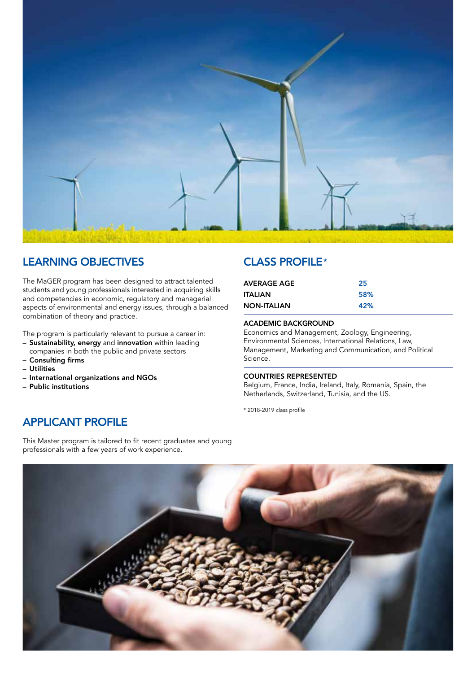

#### LEARNING OBJECTIVES

The MaGER program has been designed to attract talented students and young professionals interested in acquiring skills and competencies in economic, regulatory and managerial aspects of environmental and energy issues, through a balanced combination of theory and practice.

The program is particularly relevant to pursue a career in:

- Sustainability, energy and innovation within leading companies in both the public and private sectors
- Consulting firms
- Utilities
- International organizations and NGOs
- Public institutions

#### CLASS PROFILE\*

| AVERAGE AGE        | 25         |
|--------------------|------------|
| ITALIAN            | <b>58%</b> |
| <b>NON-ITALIAN</b> | 42%        |

#### ACADEMIC BACKGROUND

Economics and Management, Zoology, Engineering, Environmental Sciences, International Relations, Law, Management, Marketing and Communication, and Political Science.

#### COUNTRIES REPRESENTED

Belgium, France, India, Ireland, Italy, Romania, Spain, the Netherlands, Switzerland, Tunisia, and the US.

\* 2018-2019 class profile

#### APPLICANT PROFILE

This Master program is tailored to fit recent graduates and young professionals with a few years of work experience.

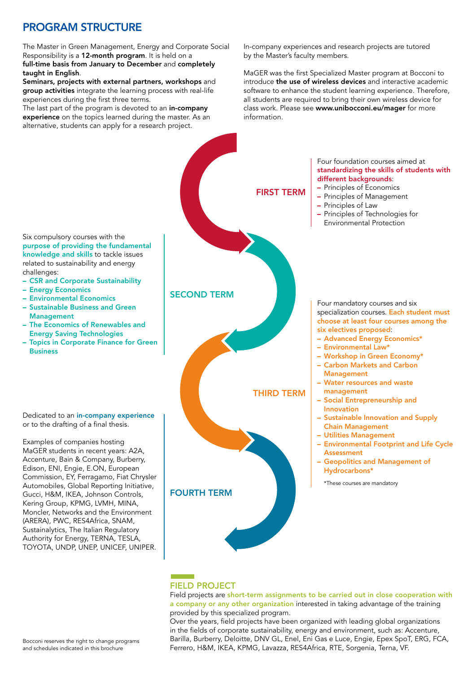## PROGRAM STRUCTURE

The Master in Green Management, Energy and Corporate Social Responsibility is a 12-month program. It is held on a full-time basis from January to December and completely taught in English.

Seminars, projects with external partners, workshops and group activities integrate the learning process with real-life experiences during the first three terms.

The last part of the program is devoted to an in-company experience on the topics learned during the master. As an alternative, students can apply for a research project.

In-company experiences and research projects are tutored by the Master's faculty members.

MaGER was the first Specialized Master program at Bocconi to introduce the use of wireless devices and interactive academic software to enhance the student learning experience. Therefore, all students are required to bring their own wireless device for class work. Please see www.unibocconi.eu/mager for more information.



#### FIELD PROJECT

Field projects are short-term assignments to be carried out in close cooperation with a company or any other organization interested in taking advantage of the training provided by this specialized program.

Over the years, field projects have been organized with leading global organizations in the fields of corporate sustainability, energy and environment, such as: Accenture, Barilla, Burberry, Deloitte, DNV GL, Enel, Eni Gas e Luce, Engie, Epex SpoT, ERG, FCA, Ferrero, H&M, IKEA, KPMG, Lavazza, RES4Africa, RTE, Sorgenia, Terna, VF.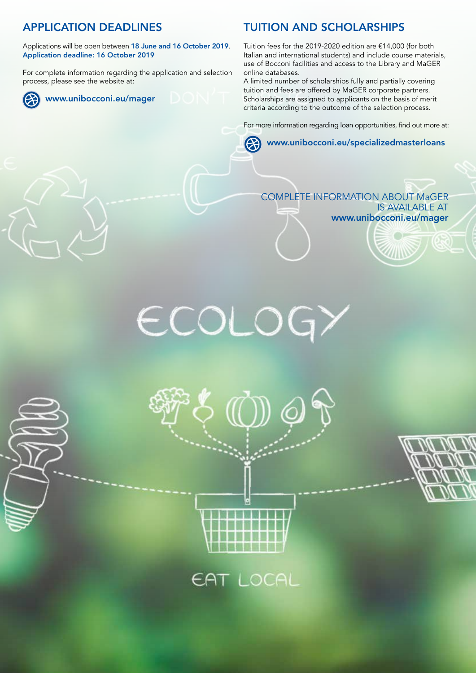## APPLICATION DEADLINES

Applications will be open between 18 June and 16 October 2019. Application deadline: 16 October 2019

For complete information regarding the application and selection process, please see the website at:



## TUITION AND SCHOLARSHIPS

Tuition fees for the 2019-2020 edition are €14,000 (for both Italian and international students) and include course materials, use of Bocconi facilities and access to the Library and MaGER online databases.

A limited number of scholarships fully and partially covering tuition and fees are offered by MaGER corporate partners. Scholarships are assigned to applicants on the basis of merit criteria according to the outcome of the selection process.

For more information regarding loan opportunities, find out more at:

#### www.unibocconi.eu/specializedmasterloans **CA**

#### COMPLETE INFORMATION ABOUT MaGER IS AVAILABLE AT www.unibocconi.eu/mager





EAT LOCAL